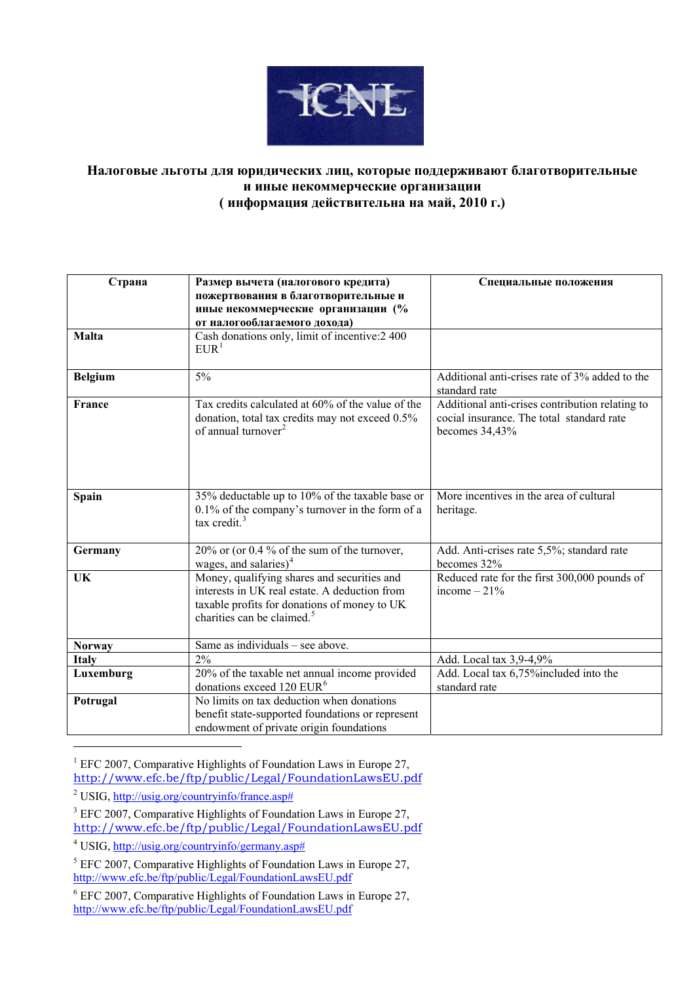

## **Налоговые льготы для юридических лиц, которые поддерживают благотворительные и иные некоммерческие организации ( информация действительна на май, 2010 г.)**

| Страна         | Размер вычета (налогового кредита)<br>пожертвования в благотворительные и<br>иные некоммерческие организации (%                                                                        | Специальные положения                                                                                          |
|----------------|----------------------------------------------------------------------------------------------------------------------------------------------------------------------------------------|----------------------------------------------------------------------------------------------------------------|
|                | от налогооблагаемого дохода)                                                                                                                                                           |                                                                                                                |
| <b>Malta</b>   | Cash donations only, limit of incentive: 2400<br>EUR <sup>1</sup>                                                                                                                      |                                                                                                                |
| <b>Belgium</b> | 5%                                                                                                                                                                                     | Additional anti-crises rate of 3% added to the<br>standard rate                                                |
| France         | Tax credits calculated at 60% of the value of the<br>donation, total tax credits may not exceed 0.5%<br>of annual turnover <sup>2</sup>                                                | Additional anti-crises contribution relating to<br>cocial insurance. The total standard rate<br>becomes 34,43% |
| Spain          | 35% deductable up to 10% of the taxable base or<br>$0.1\%$ of the company's turnover in the form of a<br>tax credit. $3$                                                               | More incentives in the area of cultural<br>heritage.                                                           |
| Germany        | 20% or (or 0.4 % of the sum of the turnover,<br>wages, and salaries) $4$                                                                                                               | Add. Anti-crises rate 5,5%; standard rate<br>becomes 32%                                                       |
| UK             | Money, qualifying shares and securities and<br>interests in UK real estate. A deduction from<br>taxable profits for donations of money to UK<br>charities can be claimed. <sup>5</sup> | Reduced rate for the first 300,000 pounds of<br>income $-21%$                                                  |
| <b>Norway</b>  | Same as individuals – see above.                                                                                                                                                       |                                                                                                                |
| <b>Italy</b>   | 2%                                                                                                                                                                                     | Add. Local tax 3,9-4,9%                                                                                        |
| Luxemburg      | 20% of the taxable net annual income provided<br>donations exceed 120 EUR <sup>6</sup>                                                                                                 | Add. Local tax 6,75% included into the<br>standard rate                                                        |
| Potrugal       | No limits on tax deduction when donations<br>benefit state-supported foundations or represent<br>endowment of private origin foundations                                               |                                                                                                                |

<span id="page-0-0"></span><sup>1</sup> EFC 2007, Comparative Highlights of Foundation Laws in Europe 27,

<http://www.efc.be/ftp/public/Legal/FoundationLawsEU.pdf>

1

<span id="page-0-1"></span><sup>&</sup>lt;sup>2</sup> USIG, [http://usig.org/countryinfo/france.asp#](http://usig.org/countryinfo/france.asp)

<span id="page-0-2"></span><sup>&</sup>lt;sup>3</sup> EFC 2007, Comparative Highlights of Foundation Laws in Europe 27, <http://www.efc.be/ftp/public/Legal/FoundationLawsEU.pdf>

<span id="page-0-3"></span><sup>&</sup>lt;sup>4</sup> USIG, [http://usig.org/countryinfo/germany.asp#](http://usig.org/countryinfo/germany.asp)

<span id="page-0-4"></span> $<sup>5</sup>$  EFC 2007, Comparative Highlights of Foundation Laws in Europe 27,</sup> <http://www.efc.be/ftp/public/Legal/FoundationLawsEU.pdf>

<span id="page-0-5"></span><sup>6</sup> EFC 2007, Comparative Highlights of Foundation Laws in Europe 27, <http://www.efc.be/ftp/public/Legal/FoundationLawsEU.pdf>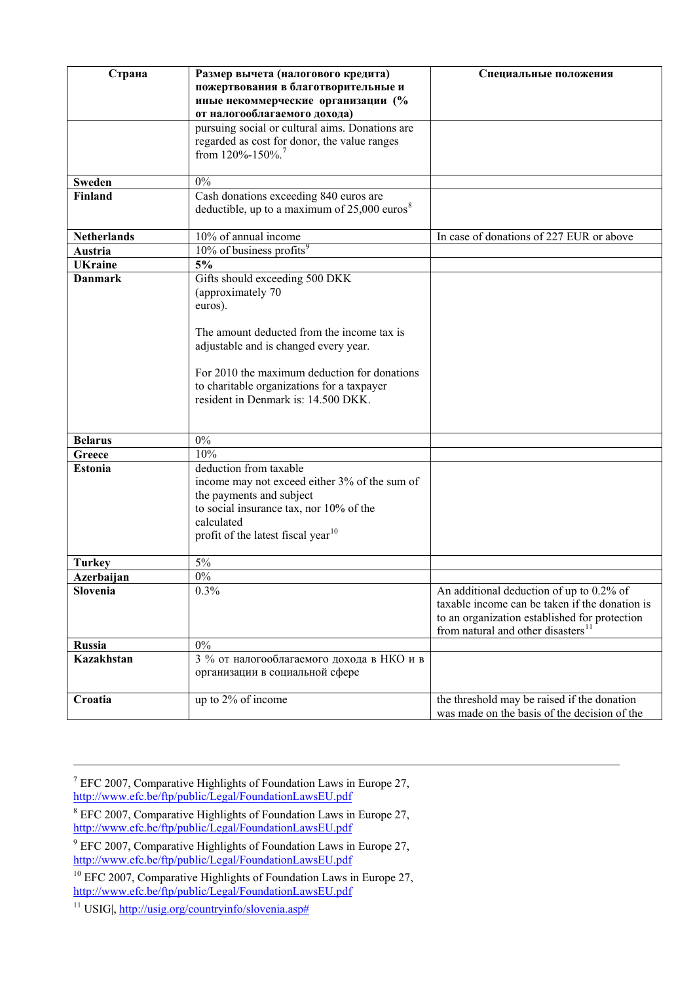| Страна             | Размер вычета (налогового кредита)                         | Специальные положения                          |
|--------------------|------------------------------------------------------------|------------------------------------------------|
|                    | пожертвования в благотворительные и                        |                                                |
|                    | иные некоммерческие организации (%                         |                                                |
|                    | от налогооблагаемого дохода)                               |                                                |
|                    | pursuing social or cultural aims. Donations are            |                                                |
|                    | regarded as cost for donor, the value ranges               |                                                |
|                    | from 120%-150%.                                            |                                                |
|                    |                                                            |                                                |
| <b>Sweden</b>      | $0\%$                                                      |                                                |
| Finland            | Cash donations exceeding 840 euros are                     |                                                |
|                    | deductible, up to a maximum of $25,000$ euros <sup>8</sup> |                                                |
|                    |                                                            |                                                |
| <b>Netherlands</b> | 10% of annual income                                       | In case of donations of 227 EUR or above       |
| Austria            | 10% of business profits <sup>9</sup>                       |                                                |
| <b>UKraine</b>     | 5%                                                         |                                                |
| <b>Danmark</b>     | Gifts should exceeding 500 DKK                             |                                                |
|                    | (approximately 70                                          |                                                |
|                    | euros).                                                    |                                                |
|                    | The amount deducted from the income tax is                 |                                                |
|                    | adjustable and is changed every year.                      |                                                |
|                    |                                                            |                                                |
|                    | For 2010 the maximum deduction for donations               |                                                |
|                    | to charitable organizations for a taxpayer                 |                                                |
|                    | resident in Denmark is: 14.500 DKK.                        |                                                |
|                    |                                                            |                                                |
|                    |                                                            |                                                |
| <b>Belarus</b>     | $0\%$                                                      |                                                |
| Greece             | 10%                                                        |                                                |
| <b>Estonia</b>     | deduction from taxable                                     |                                                |
|                    | income may not exceed either 3% of the sum of              |                                                |
|                    | the payments and subject                                   |                                                |
|                    | to social insurance tax, nor 10% of the                    |                                                |
|                    | calculated                                                 |                                                |
|                    | profit of the latest fiscal year <sup>10</sup>             |                                                |
|                    |                                                            |                                                |
| <b>Turkey</b>      | 5%                                                         |                                                |
| Azerbaijan         | 0%                                                         |                                                |
| Slovenia           | 0.3%                                                       | An additional deduction of up to 0.2% of       |
|                    |                                                            | taxable income can be taken if the donation is |
|                    |                                                            | to an organization established for protection  |
|                    |                                                            | from natural and other disasters <sup>11</sup> |
| <b>Russia</b>      | 0%                                                         |                                                |
| Kazakhstan         | 3 % от налогооблагаемого дохода в НКО и в                  |                                                |
|                    | организации в социальной сфере                             |                                                |
|                    |                                                            |                                                |
| Croatia            | up to 2% of income                                         | the threshold may be raised if the donation    |
|                    |                                                            | was made on the basis of the decision of the   |

<span id="page-1-0"></span> $\frac{1}{7}$  $^7$  EFC 2007, Comparative Highlights of Foundation Laws in Europe 27, <http://www.efc.be/ftp/public/Legal/FoundationLawsEU.pdf>

<span id="page-1-1"></span><sup>&</sup>lt;sup>8</sup> EFC 2007, Comparative Highlights of Foundation Laws in Europe 27, <http://www.efc.be/ftp/public/Legal/FoundationLawsEU.pdf>

<span id="page-1-2"></span><sup>&</sup>lt;sup>9</sup> EFC 2007, Comparative Highlights of Foundation Laws in Europe 27, <http://www.efc.be/ftp/public/Legal/FoundationLawsEU.pdf>

<span id="page-1-3"></span><sup>&</sup>lt;sup>10</sup> EFC 2007, Comparative Highlights of Foundation Laws in Europe 27, <http://www.efc.be/ftp/public/Legal/FoundationLawsEU.pdf>

<span id="page-1-4"></span><sup>&</sup>lt;sup>11</sup> USIG, [http://usig.org/countryinfo/slovenia.asp#](http://usig.org/countryinfo/slovenia.asp)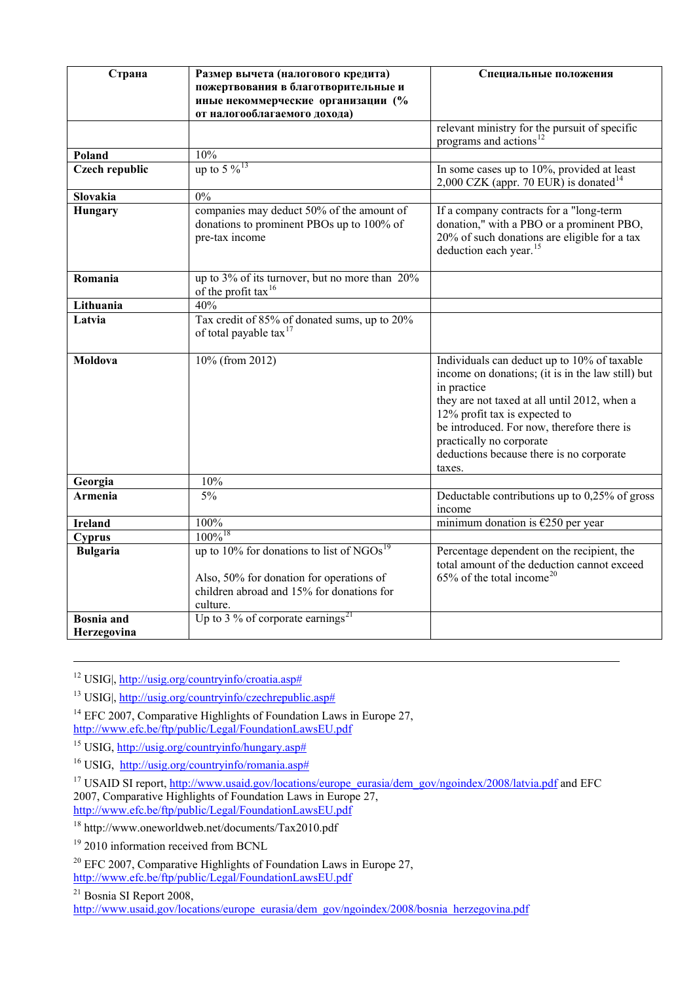| Страна                           | Размер вычета (налогового кредита)<br>пожертвования в благотворительные и<br>иные некоммерческие организации (%<br>от налогооблагаемого дохода)               | Специальные положения                                                                                                                                                                                                                                                                                                            |
|----------------------------------|---------------------------------------------------------------------------------------------------------------------------------------------------------------|----------------------------------------------------------------------------------------------------------------------------------------------------------------------------------------------------------------------------------------------------------------------------------------------------------------------------------|
|                                  |                                                                                                                                                               | relevant ministry for the pursuit of specific<br>programs and actions <sup>12</sup>                                                                                                                                                                                                                                              |
| Poland                           | 10%                                                                                                                                                           |                                                                                                                                                                                                                                                                                                                                  |
| Czech republic                   | up to 5 $\%$ <sup>13</sup>                                                                                                                                    | In some cases up to 10%, provided at least<br>2,000 CZK (appr. 70 EUR) is donated $14$                                                                                                                                                                                                                                           |
| Slovakia                         | 0%                                                                                                                                                            |                                                                                                                                                                                                                                                                                                                                  |
| Hungary                          | companies may deduct 50% of the amount of<br>donations to prominent PBOs up to 100% of<br>pre-tax income                                                      | If a company contracts for a "long-term<br>donation," with a PBO or a prominent PBO,<br>20% of such donations are eligible for a tax<br>deduction each year. <sup>15</sup>                                                                                                                                                       |
| Romania                          | up to 3% of its turnover, but no more than 20%<br>of the profit tax <sup>16</sup>                                                                             |                                                                                                                                                                                                                                                                                                                                  |
| Lithuania                        | 40%                                                                                                                                                           |                                                                                                                                                                                                                                                                                                                                  |
| Latvia                           | Tax credit of 85% of donated sums, up to 20%<br>of total payable tax <sup>17</sup>                                                                            |                                                                                                                                                                                                                                                                                                                                  |
| Moldova                          | 10% (from 2012)                                                                                                                                               | Individuals can deduct up to 10% of taxable<br>income on donations; (it is in the law still) but<br>in practice<br>they are not taxed at all until 2012, when a<br>12% profit tax is expected to<br>be introduced. For now, therefore there is<br>practically no corporate<br>deductions because there is no corporate<br>taxes. |
| Georgia                          | 10%                                                                                                                                                           |                                                                                                                                                                                                                                                                                                                                  |
| Armenia                          | 5%                                                                                                                                                            | Deductable contributions up to 0,25% of gross<br>income                                                                                                                                                                                                                                                                          |
| <b>Ireland</b>                   | 100%                                                                                                                                                          | minimum donation is $\epsilon$ 250 per year                                                                                                                                                                                                                                                                                      |
| Cyprus                           | $100\%$ <sup>18</sup>                                                                                                                                         |                                                                                                                                                                                                                                                                                                                                  |
| <b>Bulgaria</b>                  | up to $10\%$ for donations to list of NGOs <sup>19</sup><br>Also, 50% for donation for operations of<br>children abroad and 15% for donations for<br>culture. | Percentage dependent on the recipient, the<br>total amount of the deduction cannot exceed<br>$65\%$ of the total income <sup>20</sup>                                                                                                                                                                                            |
| <b>Bosnia</b> and<br>Herzegovina | Up to 3 % of corporate earnings <sup>21</sup>                                                                                                                 |                                                                                                                                                                                                                                                                                                                                  |

12 USIG|, [http://usig.org/countryinfo/croatia.asp#](http://usig.org/countryinfo/croatia.asp)

13 USIG|, [http://usig.org/countryinfo/czechrepublic.asp#](http://usig.org/countryinfo/czechrepublic.asp)

<span id="page-2-0"></span> $14$  EFC 2007, Comparative Highlights of Foundation Laws in Europe 27, <http://www.efc.be/ftp/public/Legal/FoundationLawsEU.pdf>

<span id="page-2-2"></span><span id="page-2-1"></span><sup>15</sup> USIG, [http://usig.org/countryinfo/hungary.asp#](http://usig.org/countryinfo/hungary.asp)

<sup>16</sup> USIG, [http://usig.org/countryinfo/romania.asp#](http://usig.org/countryinfo/romania.asp)

<span id="page-2-4"></span><span id="page-2-3"></span><sup>17</sup> USAID SI report, [http://www.usaid.gov/locations/europe\\_eurasia/dem\\_gov/ngoindex/2008/latvia.pdf](http://www.usaid.gov/locations/europe_eurasia/dem_gov/ngoindex/2008/latvia.pdf) and EFC 2007, Comparative Highlights of Foundation Laws in Europe 27, <http://www.efc.be/ftp/public/Legal/FoundationLawsEU.pdf>

<span id="page-2-5"></span>18 http://www.oneworldweb.net/documents/Tax2010.pdf

<sup>19</sup> 2010 information received from BCNL

<span id="page-2-6"></span> $^{20}$  EFC 2007, Comparative Highlights of Foundation Laws in Europe 27,

<span id="page-2-7"></span><http://www.efc.be/ftp/public/Legal/FoundationLawsEU.pdf>

<span id="page-2-8"></span>21 Bosnia SI Report 2008,

[http://www.usaid.gov/locations/europe\\_eurasia/dem\\_gov/ngoindex/2008/bosnia\\_herzegovina.pdf](http://www.usaid.gov/locations/europe_eurasia/dem_gov/ngoindex/2008/bosnia_herzegovina.pdf)